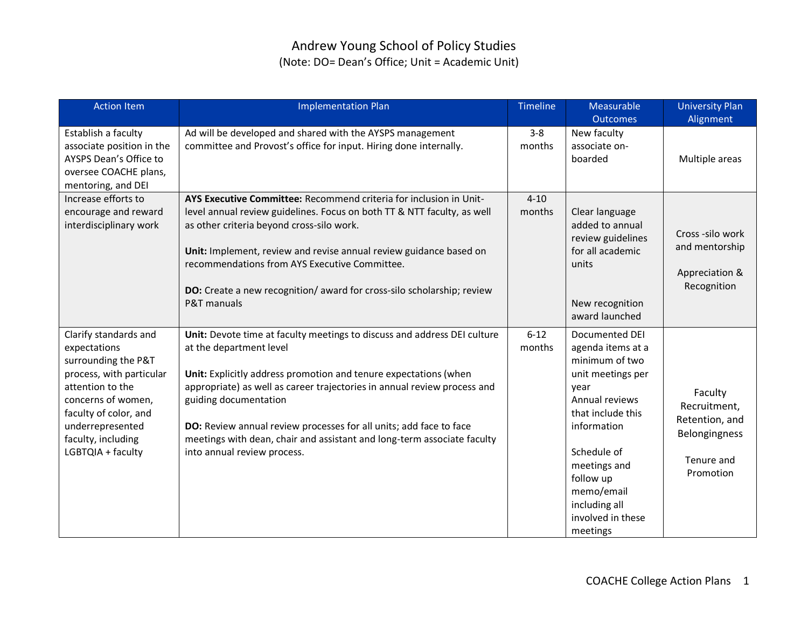# Andrew Young School of Policy Studies (Note: DO= Dean's Office; Unit = Academic Unit)

| <b>Action Item</b>                                                                                                                                                                                                         | <b>Implementation Plan</b>                                                                                                                                                                                                                                                                                                                                                                                                                                   | <b>Timeline</b>    | Measurable                                                                                                                                                                                                                                           | <b>University Plan</b>                                                                |
|----------------------------------------------------------------------------------------------------------------------------------------------------------------------------------------------------------------------------|--------------------------------------------------------------------------------------------------------------------------------------------------------------------------------------------------------------------------------------------------------------------------------------------------------------------------------------------------------------------------------------------------------------------------------------------------------------|--------------------|------------------------------------------------------------------------------------------------------------------------------------------------------------------------------------------------------------------------------------------------------|---------------------------------------------------------------------------------------|
|                                                                                                                                                                                                                            |                                                                                                                                                                                                                                                                                                                                                                                                                                                              |                    | <b>Outcomes</b>                                                                                                                                                                                                                                      | Alignment                                                                             |
| Establish a faculty<br>associate position in the<br>AYSPS Dean's Office to<br>oversee COACHE plans,<br>mentoring, and DEI                                                                                                  | Ad will be developed and shared with the AYSPS management<br>committee and Provost's office for input. Hiring done internally.                                                                                                                                                                                                                                                                                                                               | $3 - 8$<br>months  | New faculty<br>associate on-<br>boarded                                                                                                                                                                                                              | Multiple areas                                                                        |
| Increase efforts to<br>encourage and reward<br>interdisciplinary work                                                                                                                                                      | AYS Executive Committee: Recommend criteria for inclusion in Unit-<br>level annual review guidelines. Focus on both TT & NTT faculty, as well<br>as other criteria beyond cross-silo work.<br>Unit: Implement, review and revise annual review guidance based on<br>recommendations from AYS Executive Committee.<br>DO: Create a new recognition/ award for cross-silo scholarship; review<br>P&T manuals                                                   | $4 - 10$<br>months | Clear language<br>added to annual<br>review guidelines<br>for all academic<br>units<br>New recognition<br>award launched                                                                                                                             | Cross-silo work<br>and mentorship<br>Appreciation &<br>Recognition                    |
| Clarify standards and<br>expectations<br>surrounding the P&T<br>process, with particular<br>attention to the<br>concerns of women,<br>faculty of color, and<br>underrepresented<br>faculty, including<br>LGBTQIA + faculty | Unit: Devote time at faculty meetings to discuss and address DEI culture<br>at the department level<br>Unit: Explicitly address promotion and tenure expectations (when<br>appropriate) as well as career trajectories in annual review process and<br>guiding documentation<br>DO: Review annual review processes for all units; add face to face<br>meetings with dean, chair and assistant and long-term associate faculty<br>into annual review process. | $6 - 12$<br>months | Documented DEI<br>agenda items at a<br>minimum of two<br>unit meetings per<br>year<br>Annual reviews<br>that include this<br>information<br>Schedule of<br>meetings and<br>follow up<br>memo/email<br>including all<br>involved in these<br>meetings | Faculty<br>Recruitment,<br>Retention, and<br>Belongingness<br>Tenure and<br>Promotion |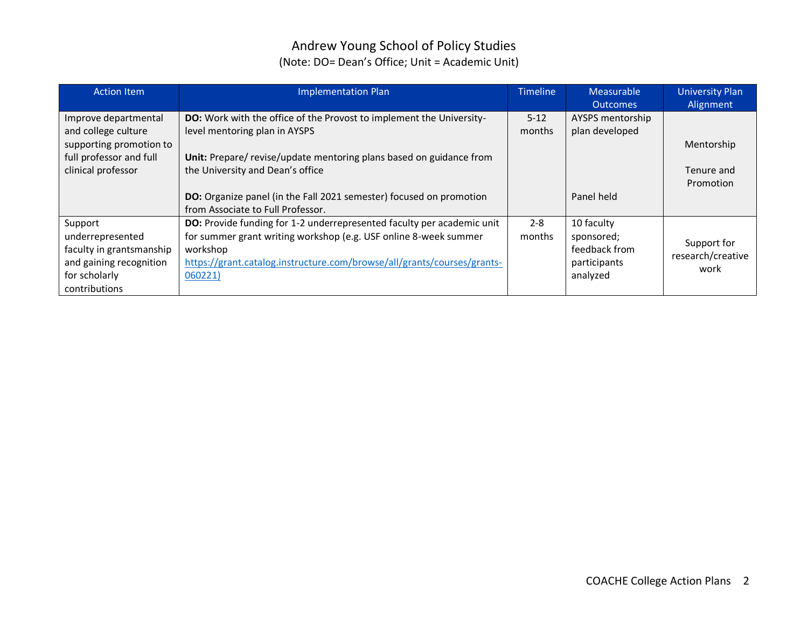## Andrew Young School of Policy Studies (Note: DO= Dean's Office; Unit = Academic Unit)

| <b>Action Item</b>       | <b>Implementation Plan</b>                                                  | <b>Timeline</b> | Measurable       | <b>University Plan</b>           |
|--------------------------|-----------------------------------------------------------------------------|-----------------|------------------|----------------------------------|
|                          |                                                                             |                 | <b>Outcomes</b>  | Alignment                        |
| Improve departmental     | <b>DO:</b> Work with the office of the Provost to implement the University- | $5 - 12$        | AYSPS mentorship |                                  |
| and college culture      | level mentoring plan in AYSPS                                               | months          | plan developed   |                                  |
| supporting promotion to  |                                                                             |                 |                  | Mentorship                       |
| full professor and full  | Unit: Prepare/revise/update mentoring plans based on guidance from          |                 |                  |                                  |
| clinical professor       | the University and Dean's office                                            |                 |                  | Tenure and                       |
|                          |                                                                             |                 |                  | Promotion                        |
|                          | DO: Organize panel (in the Fall 2021 semester) focused on promotion         |                 | Panel held       |                                  |
|                          | from Associate to Full Professor.                                           |                 |                  |                                  |
| Support                  | DO: Provide funding for 1-2 underrepresented faculty per academic unit      | $2 - 8$         | 10 faculty       |                                  |
| underrepresented         | for summer grant writing workshop (e.g. USF online 8-week summer            | months          | sponsored;       |                                  |
| faculty in grantsmanship | workshop                                                                    |                 | feedback from    | Support for<br>research/creative |
| and gaining recognition  | https://grant.catalog.instructure.com/browse/all/grants/courses/grants-     |                 | participants     | work                             |
| for scholarly            | 060221)                                                                     |                 | analyzed         |                                  |
| contributions            |                                                                             |                 |                  |                                  |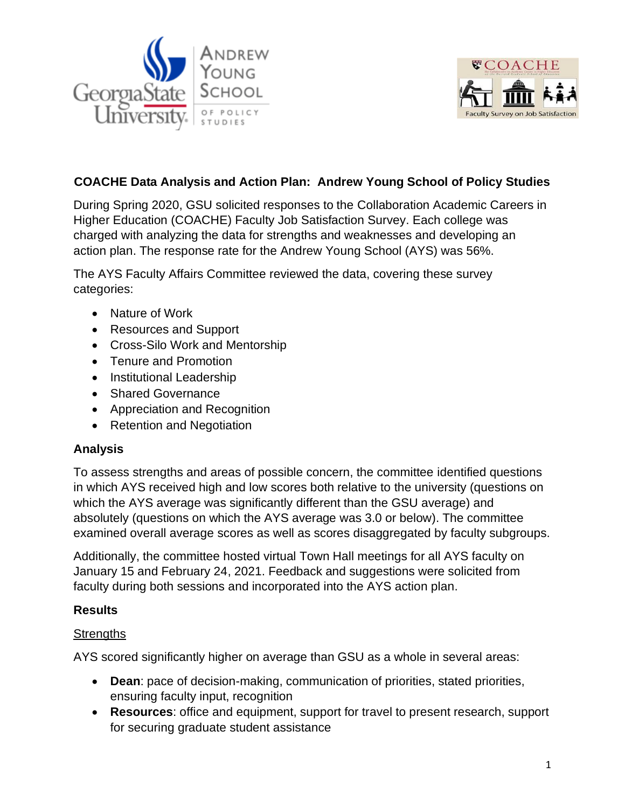



## **COACHE Data Analysis and Action Plan: Andrew Young School of Policy Studies**

During Spring 2020, GSU solicited responses to the Collaboration Academic Careers in Higher Education (COACHE) Faculty Job Satisfaction Survey. Each college was charged with analyzing the data for strengths and weaknesses and developing an action plan. The response rate for the Andrew Young School (AYS) was 56%.

The AYS Faculty Affairs Committee reviewed the data, covering these survey categories:

- Nature of Work
- Resources and Support
- Cross-Silo Work and Mentorship
- Tenure and Promotion
- Institutional Leadership
- Shared Governance
- Appreciation and Recognition
- Retention and Negotiation

### **Analysis**

To assess strengths and areas of possible concern, the committee identified questions in which AYS received high and low scores both relative to the university (questions on which the AYS average was significantly different than the GSU average) and absolutely (questions on which the AYS average was 3.0 or below). The committee examined overall average scores as well as scores disaggregated by faculty subgroups.

Additionally, the committee hosted virtual Town Hall meetings for all AYS faculty on January 15 and February 24, 2021. Feedback and suggestions were solicited from faculty during both sessions and incorporated into the AYS action plan.

### **Results**

### **Strengths**

AYS scored significantly higher on average than GSU as a whole in several areas:

- **Dean**: pace of decision-making, communication of priorities, stated priorities, ensuring faculty input, recognition
- **Resources**: office and equipment, support for travel to present research, support for securing graduate student assistance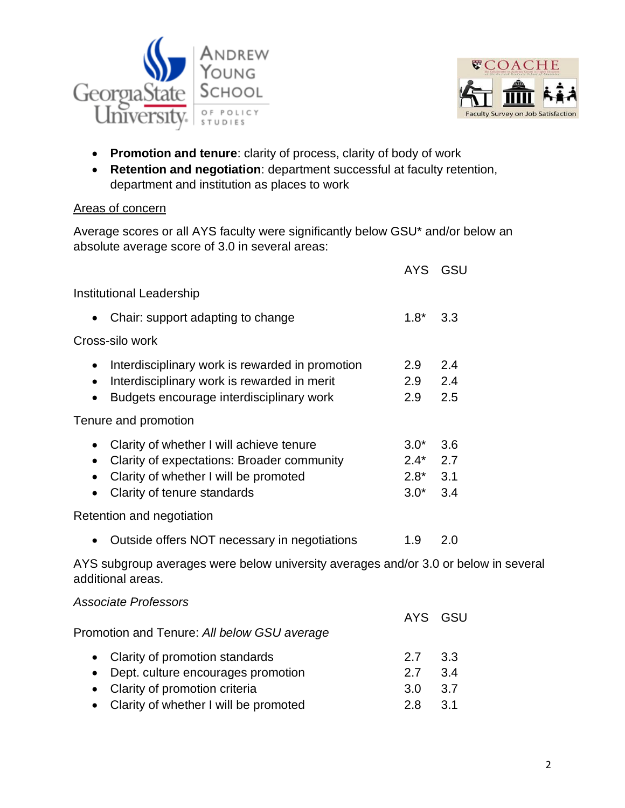



- **Promotion and tenure**: clarity of process, clarity of body of work
- **Retention and negotiation**: department successful at faculty retention, department and institution as places to work

#### Areas of concern

Average scores or all AYS faculty were significantly below GSU\* and/or below an absolute average score of 3.0 in several areas:

|                                                                                                                                                                                                                    | <b>AYS</b>                           | GSU                      |
|--------------------------------------------------------------------------------------------------------------------------------------------------------------------------------------------------------------------|--------------------------------------|--------------------------|
| Institutional Leadership                                                                                                                                                                                           |                                      |                          |
| Chair: support adapting to change                                                                                                                                                                                  | $1.8*$                               | 3.3                      |
| Cross-silo work                                                                                                                                                                                                    |                                      |                          |
| Interdisciplinary work is rewarded in promotion<br>$\bullet$<br>Interdisciplinary work is rewarded in merit<br>$\bullet$<br>Budgets encourage interdisciplinary work<br>$\bullet$                                  | 2.9<br>2.9<br>2.9                    | 2.4<br>2.4<br>2.5        |
| Tenure and promotion                                                                                                                                                                                               |                                      |                          |
| Clarity of whether I will achieve tenure<br>$\bullet$<br>Clarity of expectations: Broader community<br>$\bullet$<br>Clarity of whether I will be promoted<br>$\bullet$<br>Clarity of tenure standards<br>$\bullet$ | $3.0*$<br>$2.4*$<br>$2.8*$<br>$3.0*$ | 3.6<br>2.7<br>3.1<br>3.4 |
| Retention and negotiation                                                                                                                                                                                          |                                      |                          |
| Outside offers NOT necessary in negotiations<br>$\bullet$                                                                                                                                                          | 1.9                                  | 2.0                      |
| AYS subgroup averages were below university averages and/or 3.0 or below in several<br>additional areas.                                                                                                           |                                      |                          |
| <b>Associate Professors</b>                                                                                                                                                                                        |                                      |                          |
| Promotion and Tenure: All below GSU average                                                                                                                                                                        | <b>AYS</b>                           | GSU                      |
| Clarity of promotion standards<br>$\bullet$<br>Dept. culture encourages promotion<br>$\bullet$<br>Clarity of promotion criteria<br>$\bullet$<br>Clarity of whether I will be promoted<br>$\bullet$                 | 2.7<br>2.7<br>3.0<br>2.8             | 3.3<br>3.4<br>3.7<br>3.1 |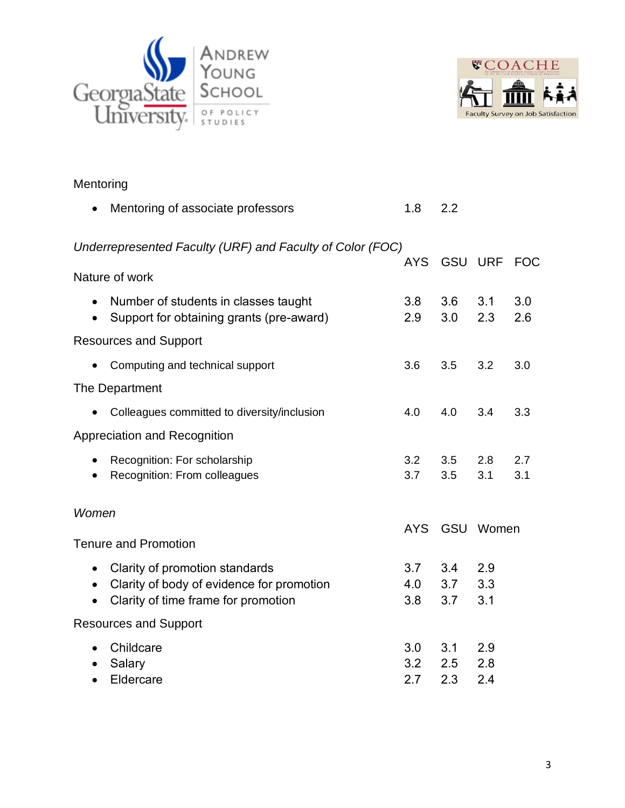



| Mentoring                           |                                                                                                                    |                   |                   |                   |            |
|-------------------------------------|--------------------------------------------------------------------------------------------------------------------|-------------------|-------------------|-------------------|------------|
|                                     | Mentoring of associate professors                                                                                  | 1.8               | 2.2               |                   |            |
|                                     | Underrepresented Faculty (URF) and Faculty of Color (FOC)                                                          | <b>AYS</b>        |                   | <b>GSU URF</b>    | <b>FOC</b> |
|                                     | Nature of work                                                                                                     |                   |                   |                   |            |
| $\bullet$                           | Number of students in classes taught<br>Support for obtaining grants (pre-award)                                   | 3.8<br>2.9        | 3.6<br>3.0        | 3.1<br>2.3        | 3.0<br>2.6 |
|                                     | <b>Resources and Support</b>                                                                                       |                   |                   |                   |            |
|                                     | Computing and technical support                                                                                    | 3.6               | 3.5               | 3.2               | 3.0        |
|                                     | The Department                                                                                                     |                   |                   |                   |            |
|                                     | Colleagues committed to diversity/inclusion                                                                        | 4.0               | 4.0               | 3.4               | 3.3        |
|                                     | Appreciation and Recognition                                                                                       |                   |                   |                   |            |
|                                     | Recognition: For scholarship<br>Recognition: From colleagues                                                       | 3.2<br>3.7        | 3.5<br>3.5        | 2.8<br>3.1        | 2.7<br>3.1 |
| Women                               |                                                                                                                    |                   |                   |                   |            |
|                                     | <b>Tenure and Promotion</b>                                                                                        | <b>AYS</b>        |                   | GSU Women         |            |
| $\bullet$<br>$\bullet$<br>$\bullet$ | Clarity of promotion standards<br>Clarity of body of evidence for promotion<br>Clarity of time frame for promotion | 3.7<br>4.0<br>3.8 | 3.4<br>3.7<br>3.7 | 2.9<br>3.3<br>3.1 |            |
|                                     | <b>Resources and Support</b>                                                                                       |                   |                   |                   |            |
| $\bullet$<br>$\bullet$              | Childcare<br>Salary<br>Eldercare                                                                                   | 3.0<br>3.2<br>2.7 | 3.1<br>2.5<br>2.3 | 2.9<br>2.8<br>2.4 |            |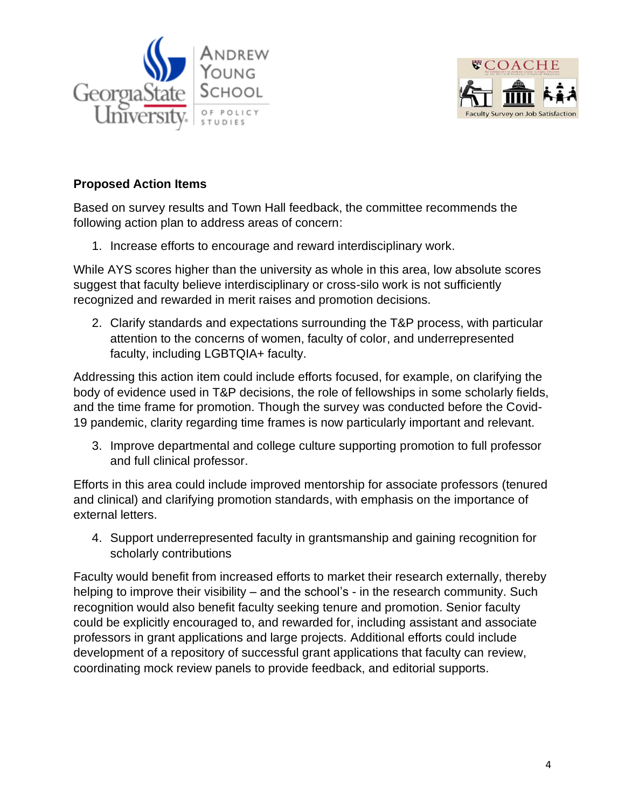



### **Proposed Action Items**

Based on survey results and Town Hall feedback, the committee recommends the following action plan to address areas of concern:

1. Increase efforts to encourage and reward interdisciplinary work.

While AYS scores higher than the university as whole in this area, low absolute scores suggest that faculty believe interdisciplinary or cross-silo work is not sufficiently recognized and rewarded in merit raises and promotion decisions.

2. Clarify standards and expectations surrounding the T&P process, with particular attention to the concerns of women, faculty of color, and underrepresented faculty, including LGBTQIA+ faculty.

Addressing this action item could include efforts focused, for example, on clarifying the body of evidence used in T&P decisions, the role of fellowships in some scholarly fields, and the time frame for promotion. Though the survey was conducted before the Covid-19 pandemic, clarity regarding time frames is now particularly important and relevant.

3. Improve departmental and college culture supporting promotion to full professor and full clinical professor.

Efforts in this area could include improved mentorship for associate professors (tenured and clinical) and clarifying promotion standards, with emphasis on the importance of external letters.

4. Support underrepresented faculty in grantsmanship and gaining recognition for scholarly contributions

Faculty would benefit from increased efforts to market their research externally, thereby helping to improve their visibility – and the school's - in the research community. Such recognition would also benefit faculty seeking tenure and promotion. Senior faculty could be explicitly encouraged to, and rewarded for, including assistant and associate professors in grant applications and large projects. Additional efforts could include development of a repository of successful grant applications that faculty can review, coordinating mock review panels to provide feedback, and editorial supports.